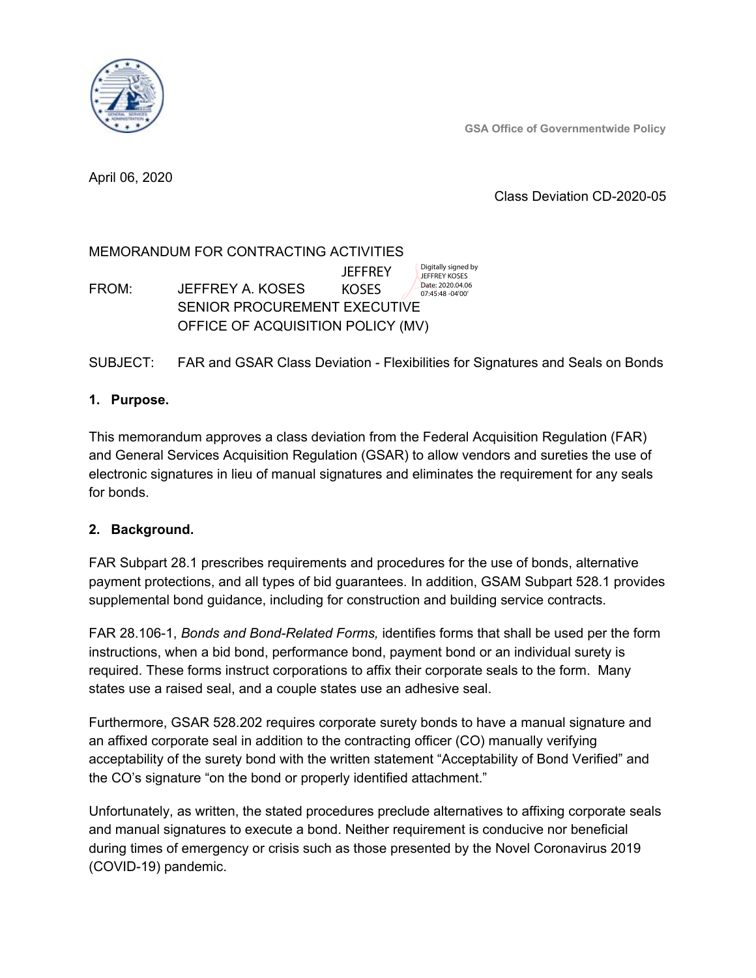**GSA Office of Governmentwide Policy**



April 06, 2020

# Class Deviation CD-2020-05

#### MEMORANDUM FOR CONTRACTING ACTIVITIES FROM: JEFFREY A. KOSES SENIOR PROCUREMENT EXECUTIVE OFFICE OF ACQUISITION POLICY (MV) **JEFFREY** KOSES Digitally signed by JEFFREY KOSES Date: 2020.04.06 07:45:48 -04'00'

# SUBJECT: FAR and GSAR Class Deviation - Flexibilities for Signatures and Seals on Bonds

# **1. Purpose.**

This memorandum approves a class deviation from the Federal Acquisition Regulation (FAR) and General Services Acquisition Regulation (GSAR) to allow vendors and sureties the use of electronic signatures in lieu of manual signatures and eliminates the requirement for any seals for bonds.

# **2. Background.**

FAR Subpart 28.1 prescribes requirements and procedures for the use of bonds, alternative payment protections, and all types of bid guarantees. In addition, GSAM Subpart 528.1 provides supplemental bond guidance, including for construction and building service contracts.

FAR 28.106-1, *Bonds and Bond-Related Forms,* identifies forms that shall be used per the form instructions, when a bid bond, performance bond, payment bond or an individual surety is required. These forms instruct corporations to affix their corporate seals to the form. Many states use a raised seal, and a couple states use an adhesive seal.

Furthermore, GSAR 528.202 requires corporate surety bonds to have a manual signature and an affixed corporate seal in addition to the contracting officer (CO) manually verifying acceptability of the surety bond with the written statement "Acceptability of Bond Verified" and the CO's signature "on the bond or properly identified attachment."

Unfortunately, as written, the stated procedures preclude alternatives to affixing corporate seals and manual signatures to execute a bond. Neither requirement is conducive nor beneficial during times of emergency or crisis such as those presented by the Novel Coronavirus 2019 (COVID-19) pandemic.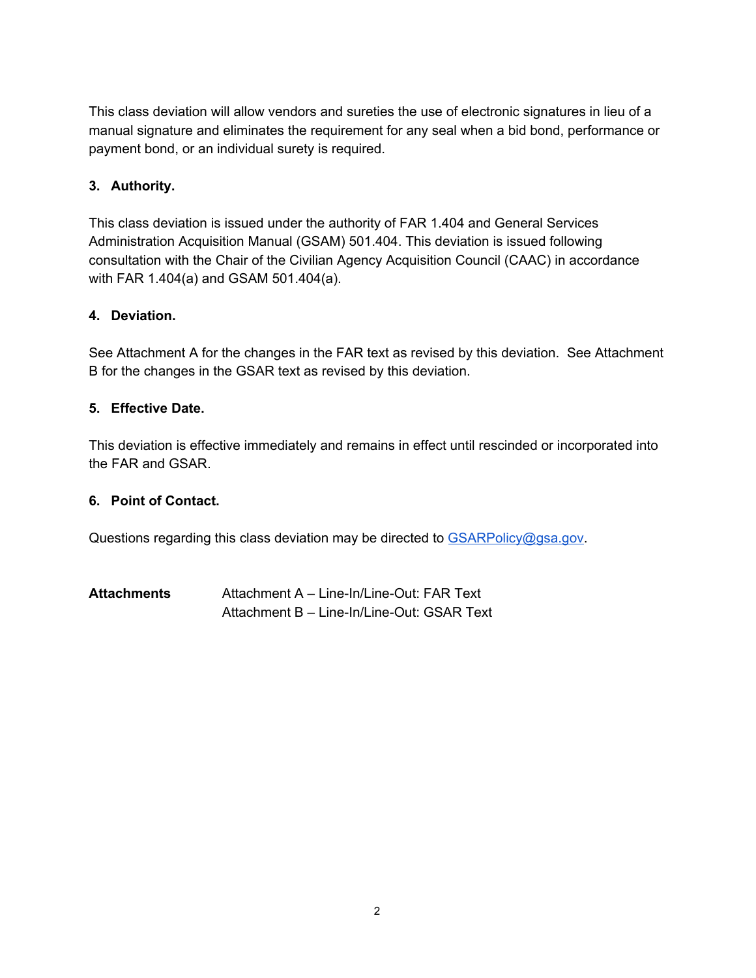This class deviation will allow vendors and sureties the use of electronic signatures in lieu of a manual signature and eliminates the requirement for any seal when a bid bond, performance or payment bond, or an individual surety is required.

# **3. Authority.**

This class deviation is issued under the authority of FAR 1.404 and General Services Administration Acquisition Manual (GSAM) 501.404. This deviation is issued following consultation with the Chair of the Civilian Agency Acquisition Council (CAAC) in accordance with FAR 1.404(a) and GSAM 501.404(a).

# **4. Deviation.**

See Attachment A for the changes in the FAR text as revised by this deviation. See Attachment B for the changes in the GSAR text as revised by this deviation.

### **5. Effective Date.**

This deviation is effective immediately and remains in effect until rescinded or incorporated into the FAR and GSAR.

### **6. Point of Contact.**

Questions regarding this class deviation may be directed to [GSARPolicy@gsa.gov.](mailto:GSARPolicy@gsa.gov)

| <b>Attachments</b> | Attachment A - Line-In/Line-Out: FAR Text  |
|--------------------|--------------------------------------------|
|                    | Attachment B - Line-In/Line-Out: GSAR Text |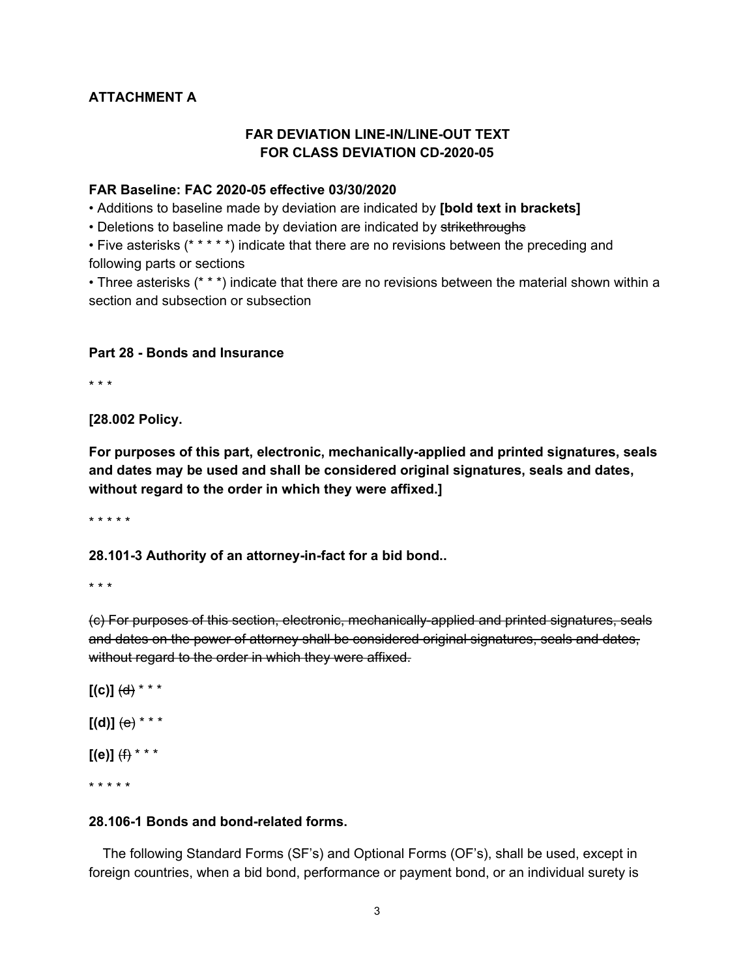# **ATTACHMENT A**

### **FAR DEVIATION LINE-IN/LINE-OUT TEXT FOR CLASS DEVIATION CD-2020-05**

### **FAR Baseline: FAC 2020-05 effective 03/30/2020**

• Additions to baseline made by deviation are indicated by **[bold text in brackets]**

• Deletions to baseline made by deviation are indicated by strikethroughs

• Five asterisks (\* \* \* \* \*) indicate that there are no revisions between the preceding and following parts or sections

• Three asterisks (\* \* \*) indicate that there are no revisions between the material shown within a section and subsection or subsection

#### **Part 28 - Bonds and Insurance**

\* \* \*

**[28.002 Policy.**

**For purposes of this part, electronic, mechanically-applied and printed signatures, seals and dates may be used and shall be considered original signatures, seals and dates, without regard to the order in which they were affixed.]**

\* \* \* \* \*

**28.101-3 Authority of an attorney-in-fact for a bid bond..**

\* \* \*

(c) For purposes of this section, electronic, mechanically-applied and printed signatures, seals and dates on the power of attorney shall be considered original signatures, seals and dates, without regard to the order in which they were affixed.

 $[(c)]$   $(d)$  \* \* \*  $[(d)] (e) * * * *$  $[(e)]$   $(f)$  \* \* \* \* \* \* \* \*

### **28.106-1 Bonds and bond-related forms.**

The following Standard Forms (SF's) and Optional Forms (OF's), shall be used, except in foreign countries, when a bid bond, performance or payment bond, or an individual surety is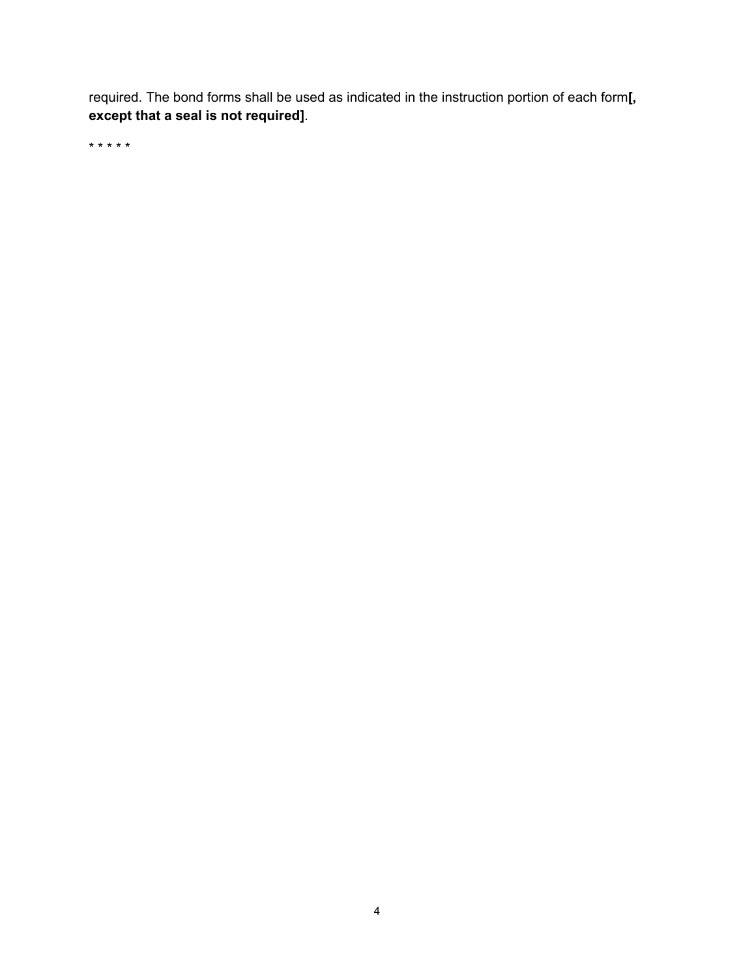required. The bond forms shall be used as indicated in the instruction portion of each form**[, except that a seal is not required]**.

\* \* \* \* \*